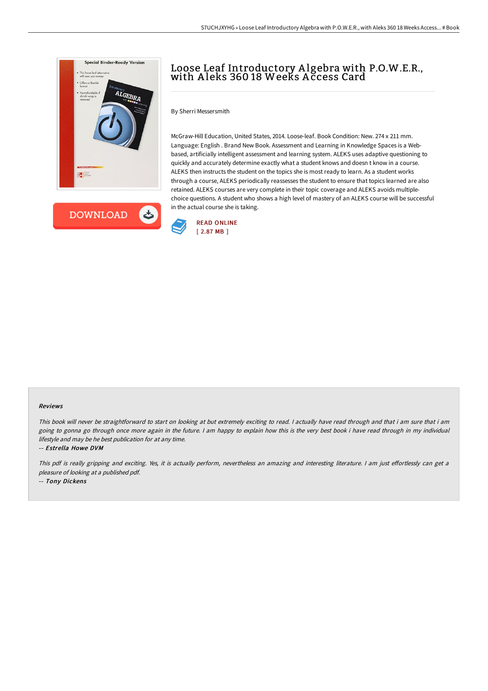



# Loose Leaf Introductory <sup>A</sup> lgebra with P.O.W.E.R., with <sup>A</sup> leks <sup>360</sup> <sup>18</sup> Weeks <sup>A</sup> ccess Card

By Sherri Messersmith

McGraw-Hill Education, United States, 2014. Loose-leaf. Book Condition: New. 274 x 211 mm. Language: English . Brand New Book. Assessment and Learning in Knowledge Spaces is a Webbased, artificially intelligent assessment and learning system. ALEKS uses adaptive questioning to quickly and accurately determine exactly what a student knows and doesn t know in a course. ALEKS then instructs the student on the topics she is most ready to learn. As a student works through a course, ALEKS periodically reassesses the student to ensure that topics learned are also retained. ALEKS courses are very complete in their topic coverage and ALEKS avoids multiplechoice questions. A student who shows a high level of mastery of an ALEKS course will be successful in the actual course she is taking.



### Reviews

This book will never be straightforward to start on looking at but extremely exciting to read. I actually have read through and that i am sure that i am going to gonna go through once more again in the future. I am happy to explain how this is the very best book i have read through in my individual lifestyle and may be he best publication for at any time.

#### -- Estrella Howe DVM

This pdf is really gripping and exciting. Yes, it is actually perform, nevertheless an amazing and interesting literature. I am just effortlessly can get a pleasure of looking at <sup>a</sup> published pdf.

-- Tony Dickens